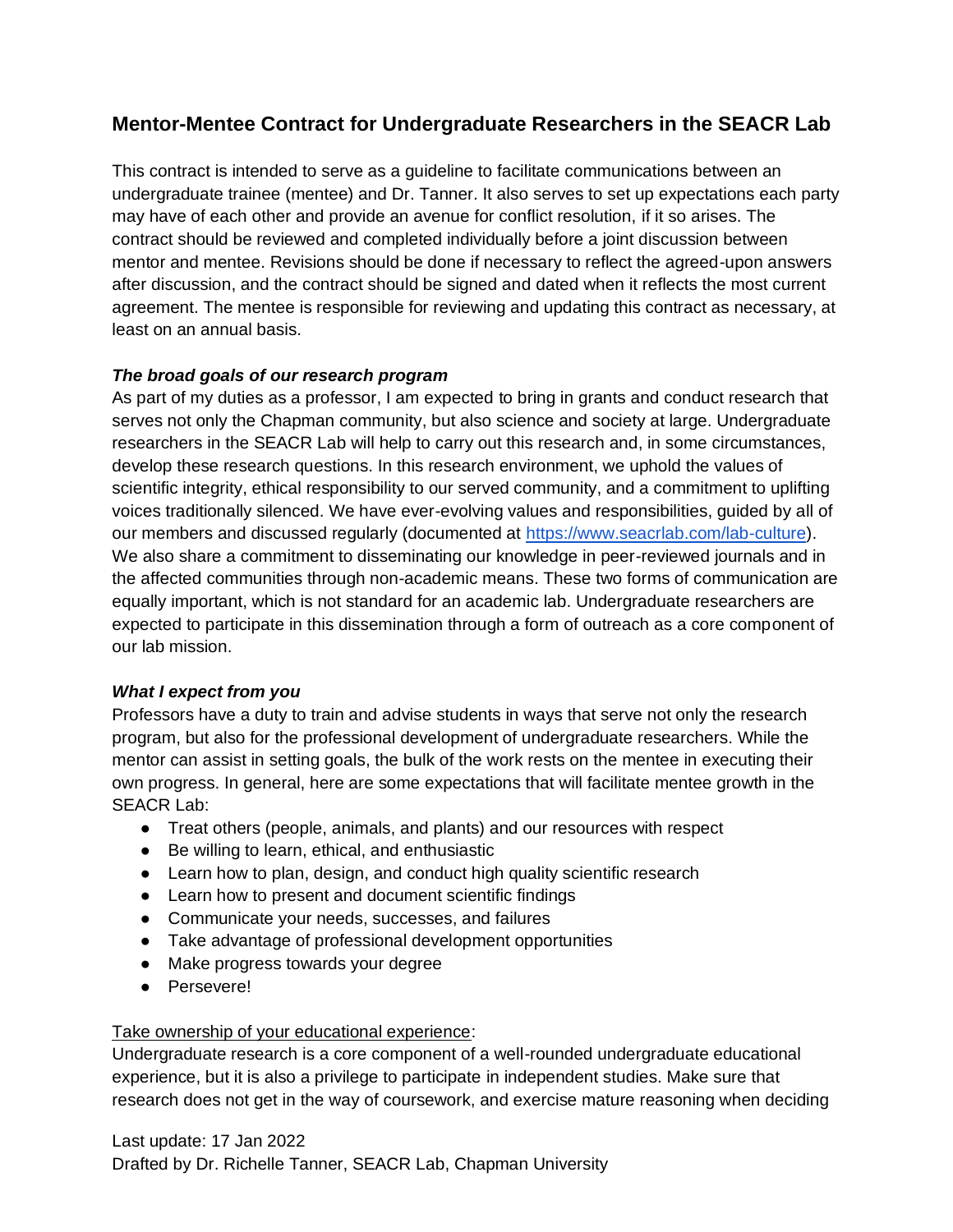# **Mentor-Mentee Contract for Undergraduate Researchers in the SEACR Lab**

This contract is intended to serve as a guideline to facilitate communications between an undergraduate trainee (mentee) and Dr. Tanner. It also serves to set up expectations each party may have of each other and provide an avenue for conflict resolution, if it so arises. The contract should be reviewed and completed individually before a joint discussion between mentor and mentee. Revisions should be done if necessary to reflect the agreed-upon answers after discussion, and the contract should be signed and dated when it reflects the most current agreement. The mentee is responsible for reviewing and updating this contract as necessary, at least on an annual basis.

## *The broad goals of our research program*

As part of my duties as a professor, I am expected to bring in grants and conduct research that serves not only the Chapman community, but also science and society at large. Undergraduate researchers in the SEACR Lab will help to carry out this research and, in some circumstances, develop these research questions. In this research environment, we uphold the values of scientific integrity, ethical responsibility to our served community, and a commitment to uplifting voices traditionally silenced. We have ever-evolving values and responsibilities, guided by all of our members and discussed regularly (documented at [https://www.seacrlab.com/lab-culture\)](https://www.seacrlab.com/lab-culture). We also share a commitment to disseminating our knowledge in peer-reviewed journals and in the affected communities through non-academic means. These two forms of communication are equally important, which is not standard for an academic lab. Undergraduate researchers are expected to participate in this dissemination through a form of outreach as a core component of our lab mission.

### *What I expect from you*

Professors have a duty to train and advise students in ways that serve not only the research program, but also for the professional development of undergraduate researchers. While the mentor can assist in setting goals, the bulk of the work rests on the mentee in executing their own progress. In general, here are some expectations that will facilitate mentee growth in the SEACR Lab:

- Treat others (people, animals, and plants) and our resources with respect
- Be willing to learn, ethical, and enthusiastic
- Learn how to plan, design, and conduct high quality scientific research
- Learn how to present and document scientific findings
- Communicate your needs, successes, and failures
- Take advantage of professional development opportunities
- Make progress towards your degree
- Persevere!

### Take ownership of your educational experience:

Undergraduate research is a core component of a well-rounded undergraduate educational experience, but it is also a privilege to participate in independent studies. Make sure that research does not get in the way of coursework, and exercise mature reasoning when deciding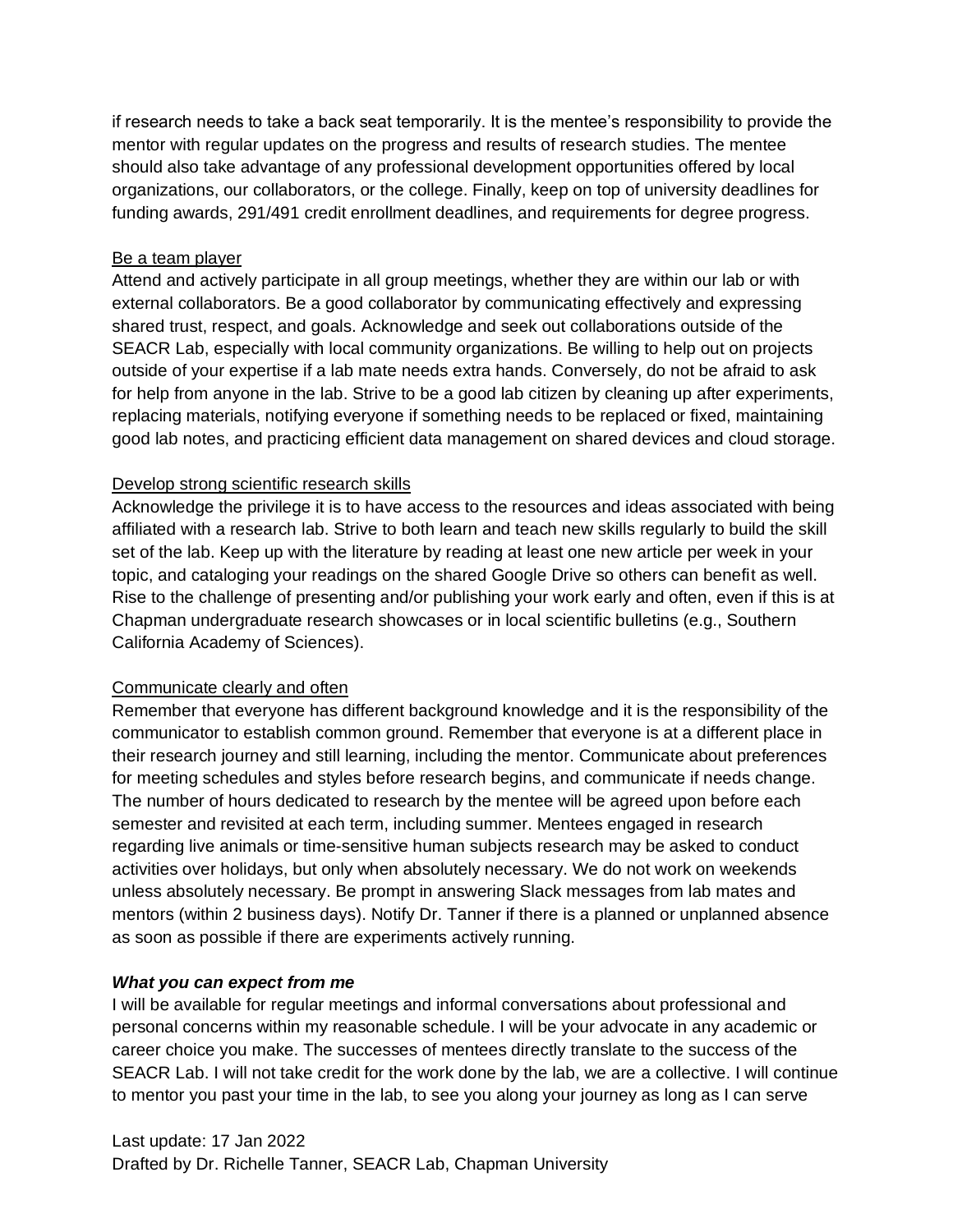if research needs to take a back seat temporarily. It is the mentee's responsibility to provide the mentor with regular updates on the progress and results of research studies. The mentee should also take advantage of any professional development opportunities offered by local organizations, our collaborators, or the college. Finally, keep on top of university deadlines for funding awards, 291/491 credit enrollment deadlines, and requirements for degree progress.

### Be a team player

Attend and actively participate in all group meetings, whether they are within our lab or with external collaborators. Be a good collaborator by communicating effectively and expressing shared trust, respect, and goals. Acknowledge and seek out collaborations outside of the SEACR Lab, especially with local community organizations. Be willing to help out on projects outside of your expertise if a lab mate needs extra hands. Conversely, do not be afraid to ask for help from anyone in the lab. Strive to be a good lab citizen by cleaning up after experiments, replacing materials, notifying everyone if something needs to be replaced or fixed, maintaining good lab notes, and practicing efficient data management on shared devices and cloud storage.

### Develop strong scientific research skills

Acknowledge the privilege it is to have access to the resources and ideas associated with being affiliated with a research lab. Strive to both learn and teach new skills regularly to build the skill set of the lab. Keep up with the literature by reading at least one new article per week in your topic, and cataloging your readings on the shared Google Drive so others can benefit as well. Rise to the challenge of presenting and/or publishing your work early and often, even if this is at Chapman undergraduate research showcases or in local scientific bulletins (e.g., Southern California Academy of Sciences).

### Communicate clearly and often

Remember that everyone has different background knowledge and it is the responsibility of the communicator to establish common ground. Remember that everyone is at a different place in their research journey and still learning, including the mentor. Communicate about preferences for meeting schedules and styles before research begins, and communicate if needs change. The number of hours dedicated to research by the mentee will be agreed upon before each semester and revisited at each term, including summer. Mentees engaged in research regarding live animals or time-sensitive human subjects research may be asked to conduct activities over holidays, but only when absolutely necessary. We do not work on weekends unless absolutely necessary. Be prompt in answering Slack messages from lab mates and mentors (within 2 business days). Notify Dr. Tanner if there is a planned or unplanned absence as soon as possible if there are experiments actively running.

#### *What you can expect from me*

I will be available for regular meetings and informal conversations about professional and personal concerns within my reasonable schedule. I will be your advocate in any academic or career choice you make. The successes of mentees directly translate to the success of the SEACR Lab. I will not take credit for the work done by the lab, we are a collective. I will continue to mentor you past your time in the lab, to see you along your journey as long as I can serve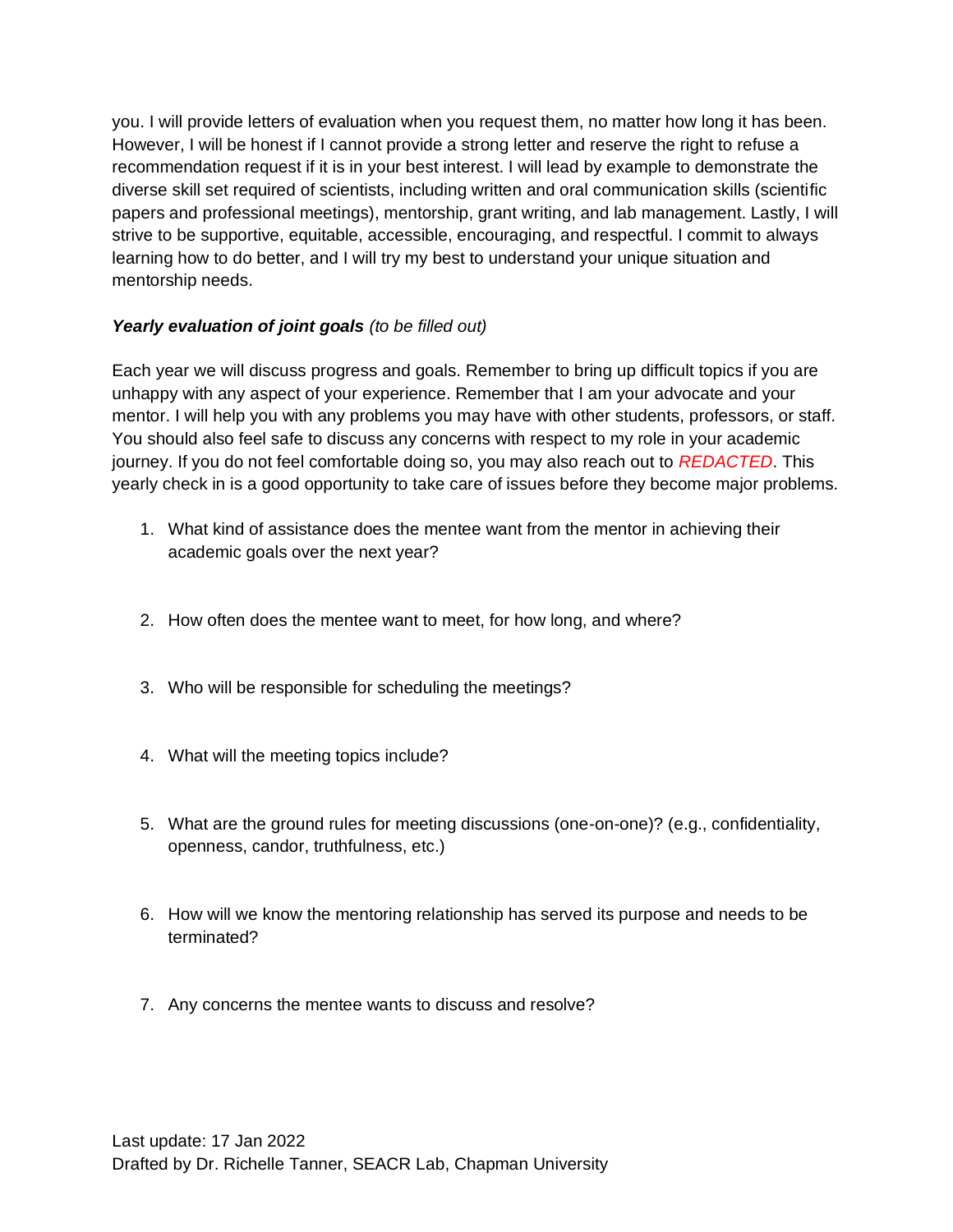you. I will provide letters of evaluation when you request them, no matter how long it has been. However, I will be honest if I cannot provide a strong letter and reserve the right to refuse a recommendation request if it is in your best interest. I will lead by example to demonstrate the diverse skill set required of scientists, including written and oral communication skills (scientific papers and professional meetings), mentorship, grant writing, and lab management. Lastly, I will strive to be supportive, equitable, accessible, encouraging, and respectful. I commit to always learning how to do better, and I will try my best to understand your unique situation and mentorship needs.

## *Yearly evaluation of joint goals (to be filled out)*

Each year we will discuss progress and goals. Remember to bring up difficult topics if you are unhappy with any aspect of your experience. Remember that I am your advocate and your mentor. I will help you with any problems you may have with other students, professors, or staff. You should also feel safe to discuss any concerns with respect to my role in your academic journey. If you do not feel comfortable doing so, you may also reach out to *REDACTED*. This yearly check in is a good opportunity to take care of issues before they become major problems.

- 1. What kind of assistance does the mentee want from the mentor in achieving their academic goals over the next year?
- 2. How often does the mentee want to meet, for how long, and where?
- 3. Who will be responsible for scheduling the meetings?
- 4. What will the meeting topics include?
- 5. What are the ground rules for meeting discussions (one-on-one)? (e.g., confidentiality, openness, candor, truthfulness, etc.)
- 6. How will we know the mentoring relationship has served its purpose and needs to be terminated?
- 7. Any concerns the mentee wants to discuss and resolve?